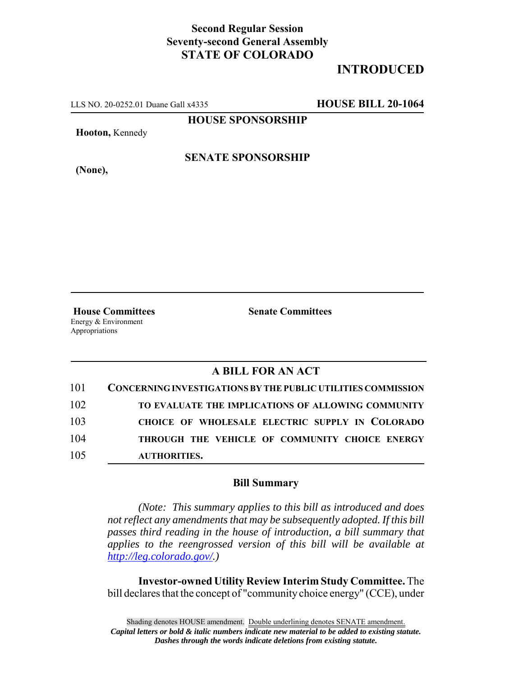## **Second Regular Session Seventy-second General Assembly STATE OF COLORADO**

# **INTRODUCED**

LLS NO. 20-0252.01 Duane Gall x4335 **HOUSE BILL 20-1064**

**HOUSE SPONSORSHIP**

**Hooton,** Kennedy

**(None),**

#### **SENATE SPONSORSHIP**

Energy & Environment Appropriations

**House Committees Senate Committees** 

### **A BILL FOR AN ACT**

| 101 | CONCERNING INVESTIGATIONS BY THE PUBLIC UTILITIES COMMISSION |
|-----|--------------------------------------------------------------|
| 102 | TO EVALUATE THE IMPLICATIONS OF ALLOWING COMMUNITY           |
| 103 | CHOICE OF WHOLESALE ELECTRIC SUPPLY IN COLORADO              |
| 104 | THROUGH THE VEHICLE OF COMMUNITY CHOICE ENERGY               |
| 105 | AUTHORITIES.                                                 |

#### **Bill Summary**

*(Note: This summary applies to this bill as introduced and does not reflect any amendments that may be subsequently adopted. If this bill passes third reading in the house of introduction, a bill summary that applies to the reengrossed version of this bill will be available at http://leg.colorado.gov/.)*

**Investor-owned Utility Review Interim Study Committee.** The bill declares that the concept of "community choice energy" (CCE), under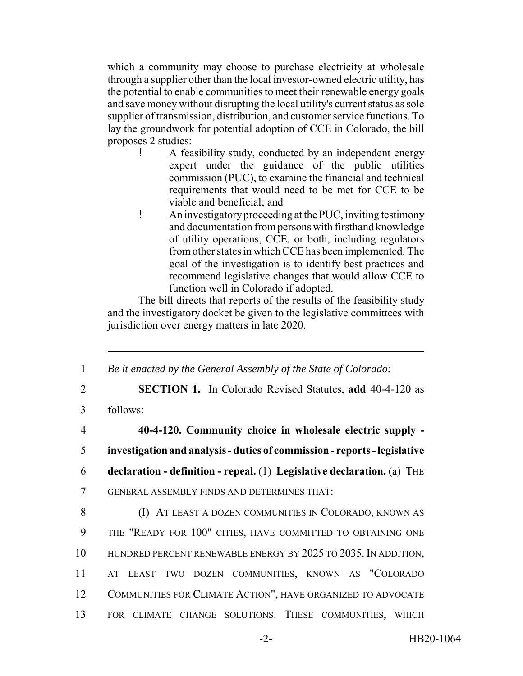which a community may choose to purchase electricity at wholesale through a supplier other than the local investor-owned electric utility, has the potential to enable communities to meet their renewable energy goals and save money without disrupting the local utility's current status as sole supplier of transmission, distribution, and customer service functions. To lay the groundwork for potential adoption of CCE in Colorado, the bill proposes 2 studies:

- ! A feasibility study, conducted by an independent energy expert under the guidance of the public utilities commission (PUC), to examine the financial and technical requirements that would need to be met for CCE to be viable and beneficial; and
- ! An investigatory proceeding at the PUC, inviting testimony and documentation from persons with firsthand knowledge of utility operations, CCE, or both, including regulators from other states in which CCE has been implemented. The goal of the investigation is to identify best practices and recommend legislative changes that would allow CCE to function well in Colorado if adopted.

The bill directs that reports of the results of the feasibility study and the investigatory docket be given to the legislative committees with jurisdiction over energy matters in late 2020.

1 *Be it enacted by the General Assembly of the State of Colorado:*

2 **SECTION 1.** In Colorado Revised Statutes, **add** 40-4-120 as

3 follows:

 **40-4-120. Community choice in wholesale electric supply - investigation and analysis - duties of commission - reports - legislative declaration - definition - repeal.** (1) **Legislative declaration.** (a) THE GENERAL ASSEMBLY FINDS AND DETERMINES THAT: **(I) AT LEAST A DOZEN COMMUNITIES IN COLORADO, KNOWN AS** 

 THE "READY FOR 100" CITIES, HAVE COMMITTED TO OBTAINING ONE HUNDRED PERCENT RENEWABLE ENERGY BY 2025 TO 2035. IN ADDITION, AT LEAST TWO DOZEN COMMUNITIES, KNOWN AS "COLORADO COMMUNITIES FOR CLIMATE ACTION", HAVE ORGANIZED TO ADVOCATE FOR CLIMATE CHANGE SOLUTIONS. THESE COMMUNITIES, WHICH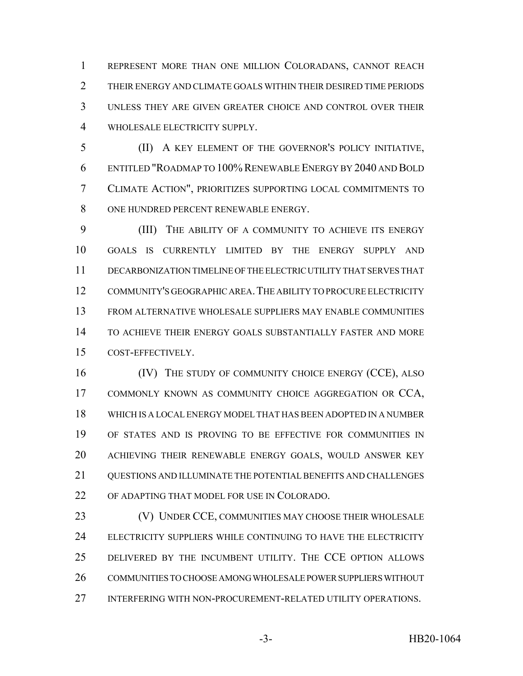REPRESENT MORE THAN ONE MILLION COLORADANS, CANNOT REACH THEIR ENERGY AND CLIMATE GOALS WITHIN THEIR DESIRED TIME PERIODS UNLESS THEY ARE GIVEN GREATER CHOICE AND CONTROL OVER THEIR WHOLESALE ELECTRICITY SUPPLY.

 (II) A KEY ELEMENT OF THE GOVERNOR'S POLICY INITIATIVE, ENTITLED "ROADMAP TO 100% RENEWABLE ENERGY BY 2040 AND BOLD CLIMATE ACTION", PRIORITIZES SUPPORTING LOCAL COMMITMENTS TO ONE HUNDRED PERCENT RENEWABLE ENERGY.

 (III) THE ABILITY OF A COMMUNITY TO ACHIEVE ITS ENERGY GOALS IS CURRENTLY LIMITED BY THE ENERGY SUPPLY AND DECARBONIZATION TIMELINE OF THE ELECTRIC UTILITY THAT SERVES THAT COMMUNITY'S GEOGRAPHIC AREA.THE ABILITY TO PROCURE ELECTRICITY FROM ALTERNATIVE WHOLESALE SUPPLIERS MAY ENABLE COMMUNITIES TO ACHIEVE THEIR ENERGY GOALS SUBSTANTIALLY FASTER AND MORE COST-EFFECTIVELY.

16 (IV) THE STUDY OF COMMUNITY CHOICE ENERGY (CCE), ALSO COMMONLY KNOWN AS COMMUNITY CHOICE AGGREGATION OR CCA, WHICH IS A LOCAL ENERGY MODEL THAT HAS BEEN ADOPTED IN A NUMBER OF STATES AND IS PROVING TO BE EFFECTIVE FOR COMMUNITIES IN ACHIEVING THEIR RENEWABLE ENERGY GOALS, WOULD ANSWER KEY 21 OUESTIONS AND ILLUMINATE THE POTENTIAL BENEFITS AND CHALLENGES OF ADAPTING THAT MODEL FOR USE IN COLORADO.

 (V) UNDER CCE, COMMUNITIES MAY CHOOSE THEIR WHOLESALE ELECTRICITY SUPPLIERS WHILE CONTINUING TO HAVE THE ELECTRICITY DELIVERED BY THE INCUMBENT UTILITY. THE CCE OPTION ALLOWS COMMUNITIES TO CHOOSE AMONG WHOLESALE POWER SUPPLIERS WITHOUT INTERFERING WITH NON-PROCUREMENT-RELATED UTILITY OPERATIONS.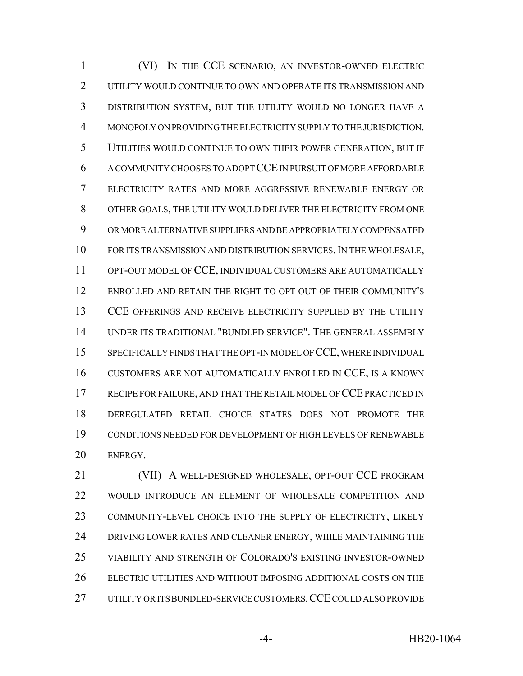(VI) IN THE CCE SCENARIO, AN INVESTOR-OWNED ELECTRIC UTILITY WOULD CONTINUE TO OWN AND OPERATE ITS TRANSMISSION AND DISTRIBUTION SYSTEM, BUT THE UTILITY WOULD NO LONGER HAVE A MONOPOLY ON PROVIDING THE ELECTRICITY SUPPLY TO THE JURISDICTION. UTILITIES WOULD CONTINUE TO OWN THEIR POWER GENERATION, BUT IF A COMMUNITY CHOOSES TO ADOPT CCE IN PURSUIT OF MORE AFFORDABLE ELECTRICITY RATES AND MORE AGGRESSIVE RENEWABLE ENERGY OR OTHER GOALS, THE UTILITY WOULD DELIVER THE ELECTRICITY FROM ONE OR MORE ALTERNATIVE SUPPLIERS AND BE APPROPRIATELY COMPENSATED FOR ITS TRANSMISSION AND DISTRIBUTION SERVICES.IN THE WHOLESALE, OPT-OUT MODEL OF CCE, INDIVIDUAL CUSTOMERS ARE AUTOMATICALLY ENROLLED AND RETAIN THE RIGHT TO OPT OUT OF THEIR COMMUNITY'S CCE OFFERINGS AND RECEIVE ELECTRICITY SUPPLIED BY THE UTILITY UNDER ITS TRADITIONAL "BUNDLED SERVICE". THE GENERAL ASSEMBLY SPECIFICALLY FINDS THAT THE OPT-IN MODEL OF CCE, WHERE INDIVIDUAL CUSTOMERS ARE NOT AUTOMATICALLY ENROLLED IN CCE, IS A KNOWN RECIPE FOR FAILURE, AND THAT THE RETAIL MODEL OF CCE PRACTICED IN DEREGULATED RETAIL CHOICE STATES DOES NOT PROMOTE THE CONDITIONS NEEDED FOR DEVELOPMENT OF HIGH LEVELS OF RENEWABLE ENERGY.

 (VII) A WELL-DESIGNED WHOLESALE, OPT-OUT CCE PROGRAM WOULD INTRODUCE AN ELEMENT OF WHOLESALE COMPETITION AND COMMUNITY-LEVEL CHOICE INTO THE SUPPLY OF ELECTRICITY, LIKELY 24 DRIVING LOWER RATES AND CLEANER ENERGY, WHILE MAINTAINING THE VIABILITY AND STRENGTH OF COLORADO'S EXISTING INVESTOR-OWNED ELECTRIC UTILITIES AND WITHOUT IMPOSING ADDITIONAL COSTS ON THE UTILITY OR ITS BUNDLED-SERVICE CUSTOMERS.CCE COULD ALSO PROVIDE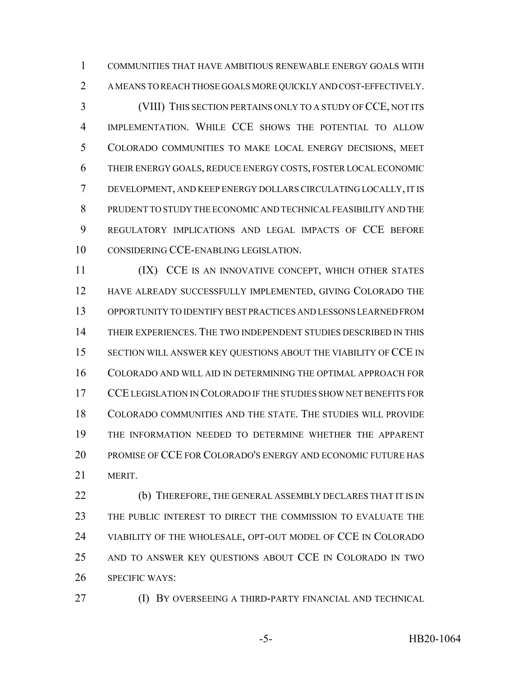COMMUNITIES THAT HAVE AMBITIOUS RENEWABLE ENERGY GOALS WITH A MEANS TO REACH THOSE GOALS MORE QUICKLY AND COST-EFFECTIVELY. (VIII) THIS SECTION PERTAINS ONLY TO A STUDY OF CCE, NOT ITS IMPLEMENTATION. WHILE CCE SHOWS THE POTENTIAL TO ALLOW COLORADO COMMUNITIES TO MAKE LOCAL ENERGY DECISIONS, MEET THEIR ENERGY GOALS, REDUCE ENERGY COSTS, FOSTER LOCAL ECONOMIC DEVELOPMENT, AND KEEP ENERGY DOLLARS CIRCULATING LOCALLY, IT IS PRUDENT TO STUDY THE ECONOMIC AND TECHNICAL FEASIBILITY AND THE REGULATORY IMPLICATIONS AND LEGAL IMPACTS OF CCE BEFORE CONSIDERING CCE-ENABLING LEGISLATION.

11 (IX) CCE IS AN INNOVATIVE CONCEPT, WHICH OTHER STATES HAVE ALREADY SUCCESSFULLY IMPLEMENTED, GIVING COLORADO THE OPPORTUNITY TO IDENTIFY BEST PRACTICES AND LESSONS LEARNED FROM THEIR EXPERIENCES. THE TWO INDEPENDENT STUDIES DESCRIBED IN THIS SECTION WILL ANSWER KEY QUESTIONS ABOUT THE VIABILITY OF CCE IN COLORADO AND WILL AID IN DETERMINING THE OPTIMAL APPROACH FOR 17 CCE LEGISLATION IN COLORADO IF THE STUDIES SHOW NET BENEFITS FOR COLORADO COMMUNITIES AND THE STATE. THE STUDIES WILL PROVIDE THE INFORMATION NEEDED TO DETERMINE WHETHER THE APPARENT PROMISE OF CCE FOR COLORADO'S ENERGY AND ECONOMIC FUTURE HAS MERIT.

**(b)** THEREFORE, THE GENERAL ASSEMBLY DECLARES THAT IT IS IN THE PUBLIC INTEREST TO DIRECT THE COMMISSION TO EVALUATE THE VIABILITY OF THE WHOLESALE, OPT-OUT MODEL OF CCE IN COLORADO AND TO ANSWER KEY QUESTIONS ABOUT CCE IN COLORADO IN TWO SPECIFIC WAYS:

(I) BY OVERSEEING A THIRD-PARTY FINANCIAL AND TECHNICAL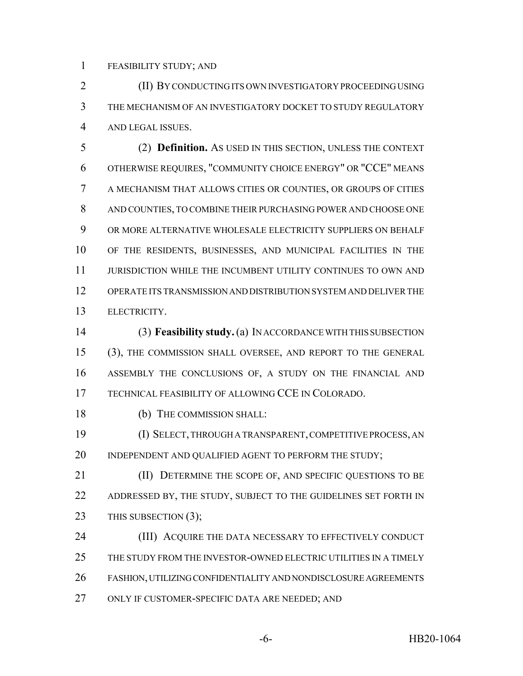FEASIBILITY STUDY; AND

 (II) BY CONDUCTING ITS OWN INVESTIGATORY PROCEEDING USING THE MECHANISM OF AN INVESTIGATORY DOCKET TO STUDY REGULATORY AND LEGAL ISSUES.

 (2) **Definition.** AS USED IN THIS SECTION, UNLESS THE CONTEXT OTHERWISE REQUIRES, "COMMUNITY CHOICE ENERGY" OR "CCE" MEANS A MECHANISM THAT ALLOWS CITIES OR COUNTIES, OR GROUPS OF CITIES AND COUNTIES, TO COMBINE THEIR PURCHASING POWER AND CHOOSE ONE OR MORE ALTERNATIVE WHOLESALE ELECTRICITY SUPPLIERS ON BEHALF OF THE RESIDENTS, BUSINESSES, AND MUNICIPAL FACILITIES IN THE JURISDICTION WHILE THE INCUMBENT UTILITY CONTINUES TO OWN AND OPERATE ITS TRANSMISSION AND DISTRIBUTION SYSTEM AND DELIVER THE ELECTRICITY.

 (3) **Feasibility study.** (a) IN ACCORDANCE WITH THIS SUBSECTION (3), THE COMMISSION SHALL OVERSEE, AND REPORT TO THE GENERAL ASSEMBLY THE CONCLUSIONS OF, A STUDY ON THE FINANCIAL AND TECHNICAL FEASIBILITY OF ALLOWING CCE IN COLORADO.

(b) THE COMMISSION SHALL:

 (I) SELECT, THROUGH A TRANSPARENT, COMPETITIVE PROCESS, AN 20 INDEPENDENT AND QUALIFIED AGENT TO PERFORM THE STUDY;

**(II) DETERMINE THE SCOPE OF, AND SPECIFIC QUESTIONS TO BE** 22 ADDRESSED BY, THE STUDY, SUBJECT TO THE GUIDELINES SET FORTH IN 23 THIS SUBSECTION (3);

24 (III) ACQUIRE THE DATA NECESSARY TO EFFECTIVELY CONDUCT THE STUDY FROM THE INVESTOR-OWNED ELECTRIC UTILITIES IN A TIMELY FASHION, UTILIZING CONFIDENTIALITY AND NONDISCLOSURE AGREEMENTS ONLY IF CUSTOMER-SPECIFIC DATA ARE NEEDED; AND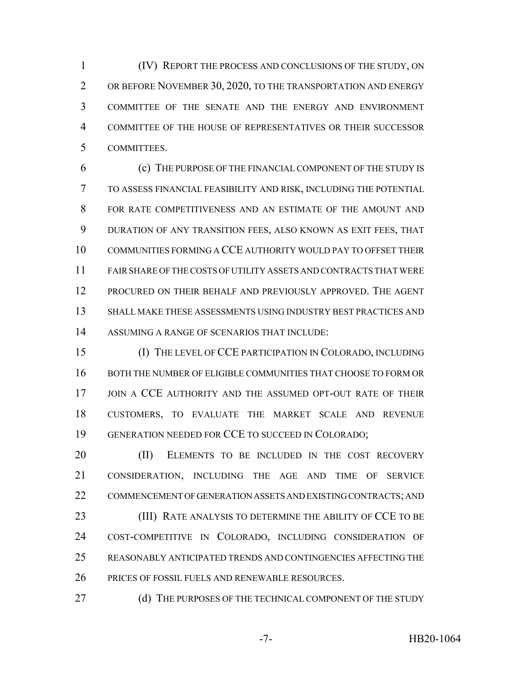(IV) REPORT THE PROCESS AND CONCLUSIONS OF THE STUDY, ON 2 OR BEFORE NOVEMBER 30, 2020, TO THE TRANSPORTATION AND ENERGY COMMITTEE OF THE SENATE AND THE ENERGY AND ENVIRONMENT COMMITTEE OF THE HOUSE OF REPRESENTATIVES OR THEIR SUCCESSOR COMMITTEES.

 (c) THE PURPOSE OF THE FINANCIAL COMPONENT OF THE STUDY IS TO ASSESS FINANCIAL FEASIBILITY AND RISK, INCLUDING THE POTENTIAL FOR RATE COMPETITIVENESS AND AN ESTIMATE OF THE AMOUNT AND DURATION OF ANY TRANSITION FEES, ALSO KNOWN AS EXIT FEES, THAT COMMUNITIES FORMING A CCE AUTHORITY WOULD PAY TO OFFSET THEIR FAIR SHARE OF THE COSTS OF UTILITY ASSETS AND CONTRACTS THAT WERE 12 PROCURED ON THEIR BEHALF AND PREVIOUSLY APPROVED. THE AGENT SHALL MAKE THESE ASSESSMENTS USING INDUSTRY BEST PRACTICES AND ASSUMING A RANGE OF SCENARIOS THAT INCLUDE:

 (I) THE LEVEL OF CCE PARTICIPATION IN COLORADO, INCLUDING BOTH THE NUMBER OF ELIGIBLE COMMUNITIES THAT CHOOSE TO FORM OR 17 JOIN A CCE AUTHORITY AND THE ASSUMED OPT-OUT RATE OF THEIR CUSTOMERS, TO EVALUATE THE MARKET SCALE AND REVENUE GENERATION NEEDED FOR CCE TO SUCCEED IN COLORADO;

20 (II) ELEMENTS TO BE INCLUDED IN THE COST RECOVERY CONSIDERATION, INCLUDING THE AGE AND TIME OF SERVICE COMMENCEMENT OF GENERATION ASSETS AND EXISTING CONTRACTS; AND **(III) RATE ANALYSIS TO DETERMINE THE ABILITY OF CCE TO BE**  COST-COMPETITIVE IN COLORADO, INCLUDING CONSIDERATION OF REASONABLY ANTICIPATED TRENDS AND CONTINGENCIES AFFECTING THE PRICES OF FOSSIL FUELS AND RENEWABLE RESOURCES.

27 (d) THE PURPOSES OF THE TECHNICAL COMPONENT OF THE STUDY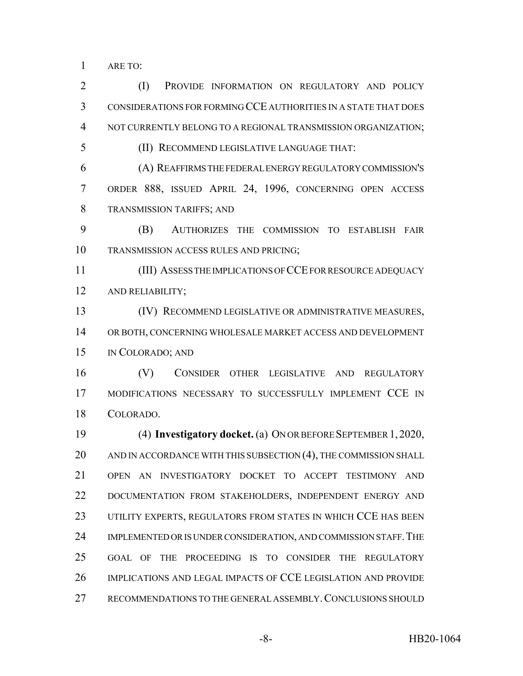ARE TO:

 CONSIDERATIONS FOR FORMING CCE AUTHORITIES IN A STATE THAT DOES NOT CURRENTLY BELONG TO A REGIONAL TRANSMISSION ORGANIZATION; (II) RECOMMEND LEGISLATIVE LANGUAGE THAT: (A) REAFFIRMS THE FEDERAL ENERGY REGULATORY COMMISSION'S ORDER 888, ISSUED APRIL 24, 1996, CONCERNING OPEN ACCESS TRANSMISSION TARIFFS; AND (B) AUTHORIZES THE COMMISSION TO ESTABLISH FAIR TRANSMISSION ACCESS RULES AND PRICING; (III) ASSESS THE IMPLICATIONS OF CCE FOR RESOURCE ADEQUACY AND RELIABILITY; (IV) RECOMMEND LEGISLATIVE OR ADMINISTRATIVE MEASURES, OR BOTH, CONCERNING WHOLESALE MARKET ACCESS AND DEVELOPMENT IN COLORADO; AND (V) CONSIDER OTHER LEGISLATIVE AND REGULATORY MODIFICATIONS NECESSARY TO SUCCESSFULLY IMPLEMENT CCE IN COLORADO. (4) **Investigatory docket.** (a) ON OR BEFORE SEPTEMBER 1, 2020, AND IN ACCORDANCE WITH THIS SUBSECTION (4), THE COMMISSION SHALL OPEN AN INVESTIGATORY DOCKET TO ACCEPT TESTIMONY AND DOCUMENTATION FROM STAKEHOLDERS, INDEPENDENT ENERGY AND 23 UTILITY EXPERTS, REGULATORS FROM STATES IN WHICH CCE HAS BEEN 24 IMPLEMENTED OR IS UNDER CONSIDERATION, AND COMMISSION STAFF. THE GOAL OF THE PROCEEDING IS TO CONSIDER THE REGULATORY

2 (I) PROVIDE INFORMATION ON REGULATORY AND POLICY

- IMPLICATIONS AND LEGAL IMPACTS OF CCE LEGISLATION AND PROVIDE
- RECOMMENDATIONS TO THE GENERAL ASSEMBLY.CONCLUSIONS SHOULD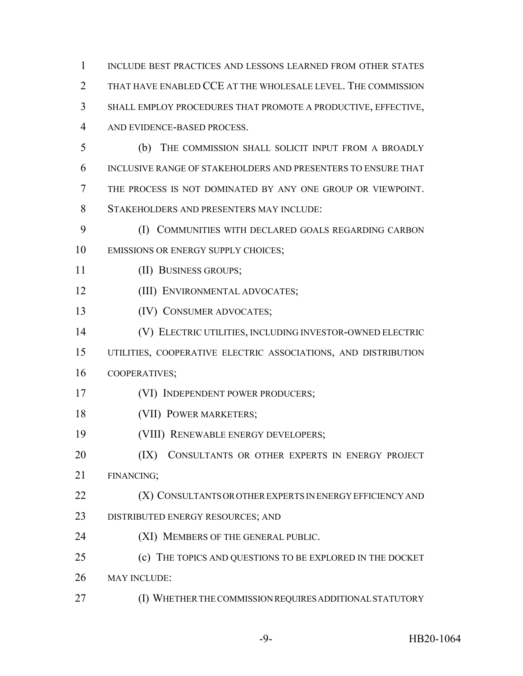| 1              | INCLUDE BEST PRACTICES AND LESSONS LEARNED FROM OTHER STATES   |
|----------------|----------------------------------------------------------------|
| $\overline{2}$ | THAT HAVE ENABLED CCE AT THE WHOLESALE LEVEL. THE COMMISSION   |
| 3              | SHALL EMPLOY PROCEDURES THAT PROMOTE A PRODUCTIVE, EFFECTIVE,  |
| $\overline{4}$ | AND EVIDENCE-BASED PROCESS.                                    |
| 5              | THE COMMISSION SHALL SOLICIT INPUT FROM A BROADLY<br>(b)       |
| 6              | INCLUSIVE RANGE OF STAKEHOLDERS AND PRESENTERS TO ENSURE THAT  |
| 7              | THE PROCESS IS NOT DOMINATED BY ANY ONE GROUP OR VIEWPOINT.    |
| 8              | STAKEHOLDERS AND PRESENTERS MAY INCLUDE:                       |
| 9              | (I) COMMUNITIES WITH DECLARED GOALS REGARDING CARBON           |
| 10             | EMISSIONS OR ENERGY SUPPLY CHOICES;                            |
| 11             | (II) BUSINESS GROUPS;                                          |
| 12             | (III) ENVIRONMENTAL ADVOCATES;                                 |
| 13             | (IV) CONSUMER ADVOCATES;                                       |
| 14             | (V) ELECTRIC UTILITIES, INCLUDING INVESTOR-OWNED ELECTRIC      |
| 15             | UTILITIES, COOPERATIVE ELECTRIC ASSOCIATIONS, AND DISTRIBUTION |
| 16             | COOPERATIVES;                                                  |
| 17             | (VI) INDEPENDENT POWER PRODUCERS;                              |
| 18             | (VII) POWER MARKETERS;                                         |
| 19             | (VIII) RENEWABLE ENERGY DEVELOPERS;                            |
| 20             | (IX)<br>CONSULTANTS OR OTHER EXPERTS IN ENERGY PROJECT         |
| 21             | FINANCING;                                                     |
| 22             | (X) CONSULTANTS OR OTHER EXPERTS IN ENERGY EFFICIENCY AND      |
| 23             | DISTRIBUTED ENERGY RESOURCES; AND                              |
| 24             | (XI) MEMBERS OF THE GENERAL PUBLIC.                            |
| 25             | (c) THE TOPICS AND QUESTIONS TO BE EXPLORED IN THE DOCKET      |
| 26             | <b>MAY INCLUDE:</b>                                            |
| 27             | (I) WHETHER THE COMMISSION REQUIRES ADDITIONAL STATUTORY       |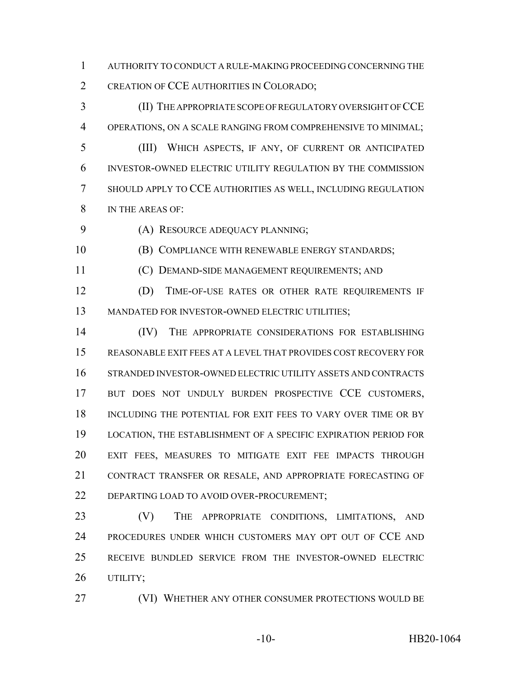AUTHORITY TO CONDUCT A RULE-MAKING PROCEEDING CONCERNING THE 2 CREATION OF CCE AUTHORITIES IN COLORADO;

 (II) THE APPROPRIATE SCOPE OF REGULATORY OVERSIGHT OF CCE OPERATIONS, ON A SCALE RANGING FROM COMPREHENSIVE TO MINIMAL; (III) WHICH ASPECTS, IF ANY, OF CURRENT OR ANTICIPATED INVESTOR-OWNED ELECTRIC UTILITY REGULATION BY THE COMMISSION SHOULD APPLY TO CCE AUTHORITIES AS WELL, INCLUDING REGULATION IN THE AREAS OF:

(A) RESOURCE ADEQUACY PLANNING;

(B) COMPLIANCE WITH RENEWABLE ENERGY STANDARDS;

(C) DEMAND-SIDE MANAGEMENT REQUIREMENTS; AND

 (D) TIME-OF-USE RATES OR OTHER RATE REQUIREMENTS IF MANDATED FOR INVESTOR-OWNED ELECTRIC UTILITIES;

14 (IV) THE APPROPRIATE CONSIDERATIONS FOR ESTABLISHING REASONABLE EXIT FEES AT A LEVEL THAT PROVIDES COST RECOVERY FOR STRANDED INVESTOR-OWNED ELECTRIC UTILITY ASSETS AND CONTRACTS 17 BUT DOES NOT UNDULY BURDEN PROSPECTIVE CCE CUSTOMERS, INCLUDING THE POTENTIAL FOR EXIT FEES TO VARY OVER TIME OR BY LOCATION, THE ESTABLISHMENT OF A SPECIFIC EXPIRATION PERIOD FOR EXIT FEES, MEASURES TO MITIGATE EXIT FEE IMPACTS THROUGH CONTRACT TRANSFER OR RESALE, AND APPROPRIATE FORECASTING OF 22 DEPARTING LOAD TO AVOID OVER-PROCUREMENT;

23 (V) THE APPROPRIATE CONDITIONS, LIMITATIONS, AND PROCEDURES UNDER WHICH CUSTOMERS MAY OPT OUT OF CCE AND RECEIVE BUNDLED SERVICE FROM THE INVESTOR-OWNED ELECTRIC UTILITY;

(VI) WHETHER ANY OTHER CONSUMER PROTECTIONS WOULD BE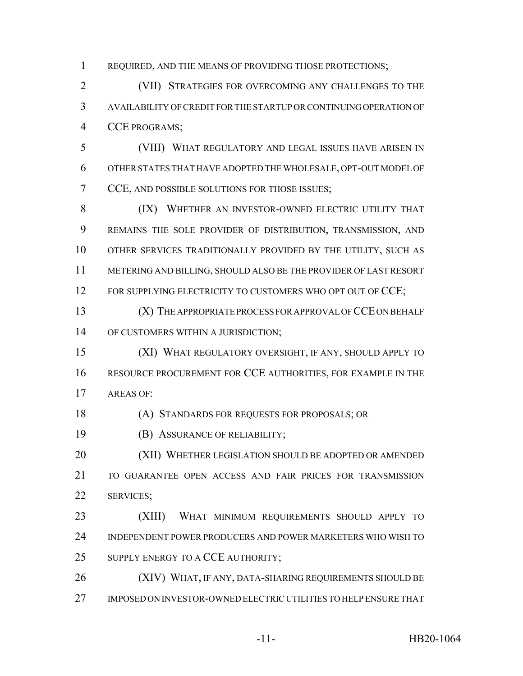REQUIRED, AND THE MEANS OF PROVIDING THOSE PROTECTIONS;

 (VII) STRATEGIES FOR OVERCOMING ANY CHALLENGES TO THE AVAILABILITY OF CREDIT FOR THE STARTUP OR CONTINUING OPERATION OF CCE PROGRAMS;

 (VIII) WHAT REGULATORY AND LEGAL ISSUES HAVE ARISEN IN OTHER STATES THAT HAVE ADOPTED THE WHOLESALE, OPT-OUT MODEL OF CCE, AND POSSIBLE SOLUTIONS FOR THOSE ISSUES;

8 (IX) WHETHER AN INVESTOR-OWNED ELECTRIC UTILITY THAT REMAINS THE SOLE PROVIDER OF DISTRIBUTION, TRANSMISSION, AND OTHER SERVICES TRADITIONALLY PROVIDED BY THE UTILITY, SUCH AS METERING AND BILLING, SHOULD ALSO BE THE PROVIDER OF LAST RESORT 12 FOR SUPPLYING ELECTRICITY TO CUSTOMERS WHO OPT OUT OF CCE;

 (X) THE APPROPRIATE PROCESS FOR APPROVAL OF CCE ON BEHALF 14 OF CUSTOMERS WITHIN A JURISDICTION;

 (XI) WHAT REGULATORY OVERSIGHT, IF ANY, SHOULD APPLY TO RESOURCE PROCUREMENT FOR CCE AUTHORITIES, FOR EXAMPLE IN THE AREAS OF:

(A) STANDARDS FOR REQUESTS FOR PROPOSALS; OR

(B) ASSURANCE OF RELIABILITY;

20 (XII) WHETHER LEGISLATION SHOULD BE ADOPTED OR AMENDED TO GUARANTEE OPEN ACCESS AND FAIR PRICES FOR TRANSMISSION SERVICES;

 (XIII) WHAT MINIMUM REQUIREMENTS SHOULD APPLY TO INDEPENDENT POWER PRODUCERS AND POWER MARKETERS WHO WISH TO 25 SUPPLY ENERGY TO A CCE AUTHORITY;

26 (XIV) WHAT, IF ANY, DATA-SHARING REQUIREMENTS SHOULD BE IMPOSED ON INVESTOR-OWNED ELECTRIC UTILITIES TO HELP ENSURE THAT